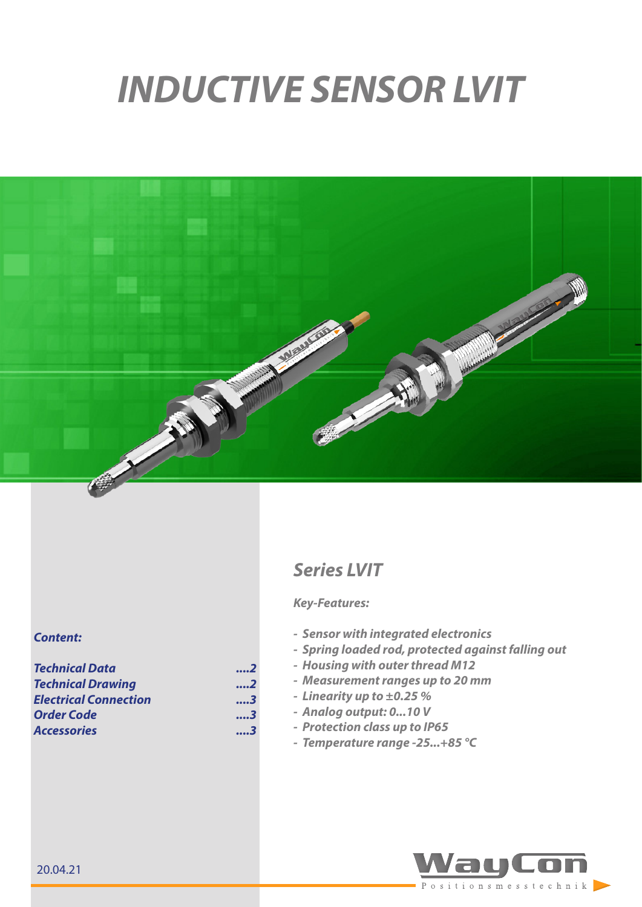# *INDUCTIVE SENSOR LVIT*



# *Series LVIT*

#### *Key-Features:*

- *- Sensor with integrated electronics*
- *- Spring loaded rod, protected against falling out*
- *- Housing with outer thread M12*
- *- Measurement ranges up to 20 mm*
- *- Linearity up to ±0.25 %*
- *- Analog output: 0...10 V*
- *- Protection class up to IP65*
- *- Temperature range -25...+85 °C*



#### *Content:*

| <b>Technical Data</b>        | 2   |
|------------------------------|-----|
| <b>Technical Drawing</b>     | 2   |
| <b>Electrical Connection</b> | 3   |
| <b>Order Code</b>            | 3   |
| <b>Accessories</b>           | . 3 |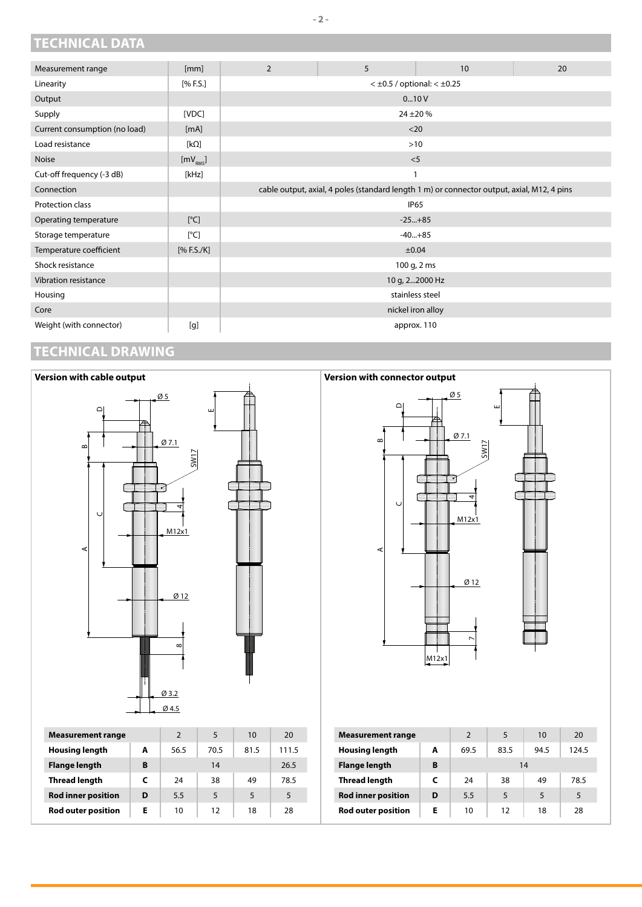## <span id="page-1-0"></span>**TECHNICAL DATA**

| Measurement range             | [mm]                 | 2                                        | 5                                                                                          | 10                | 20 |
|-------------------------------|----------------------|------------------------------------------|--------------------------------------------------------------------------------------------|-------------------|----|
| Linearity                     | [% F.S.]             | $<$ $\pm$ 0.5 / optional: $<$ $\pm$ 0.25 |                                                                                            |                   |    |
| Output                        |                      | 010V                                     |                                                                                            |                   |    |
| Supply                        | [VDC]                | $24 + 20%$                               |                                                                                            |                   |    |
| Current consumption (no load) | [mA]                 | $20$                                     |                                                                                            |                   |    |
| Load resistance               | [ $k\Omega$ ]        | $>10$                                    |                                                                                            |                   |    |
| <b>Noise</b>                  | [mV <sub>RMS</sub> ] | $<$ 5                                    |                                                                                            |                   |    |
| Cut-off frequency (-3 dB)     | [kHz]                |                                          |                                                                                            |                   |    |
| Connection                    |                      |                                          | cable output, axial, 4 poles (standard length 1 m) or connector output, axial, M12, 4 pins |                   |    |
| Protection class              |                      |                                          |                                                                                            | <b>IP65</b>       |    |
| Operating temperature         | [°C]                 | $-25+85$                                 |                                                                                            |                   |    |
| Storage temperature           | [°C]                 | $-40+85$                                 |                                                                                            |                   |    |
| Temperature coefficient       | [% F.S./K]           | ±0.04                                    |                                                                                            |                   |    |
| Shock resistance              |                      | 100 g, 2 ms                              |                                                                                            |                   |    |
| Vibration resistance          |                      | 10 g, 22000 Hz                           |                                                                                            |                   |    |
| Housing                       |                      | stainless steel                          |                                                                                            |                   |    |
| Core                          |                      |                                          |                                                                                            | nickel iron alloy |    |
| Weight (with connector)       | [g]                  | approx. 110                              |                                                                                            |                   |    |

## <span id="page-1-1"></span>**TECHNICAL DRAWING**



## **Version with connector output**



#### **- 2 -**